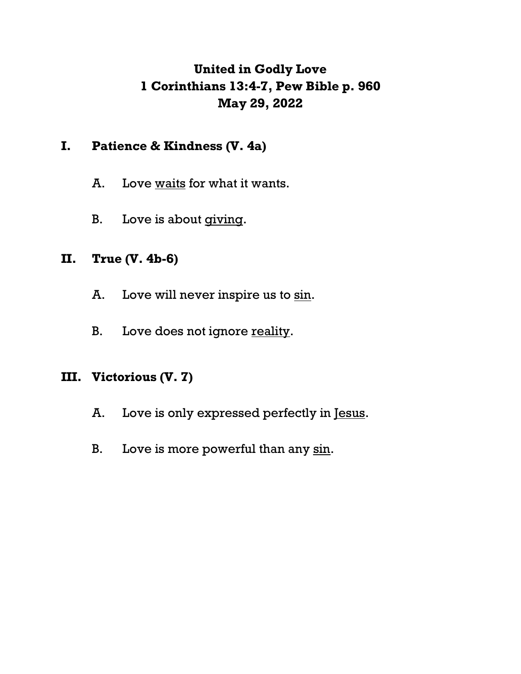# **United in Godly Love 1 Corinthians 13:4-7, Pew Bible p. 960 May 29, 2022**

# **I. Patience & Kindness (V. 4a)**

- A. Love waits for what it wants.
- B. Love is about giving.

# **II. True (V. 4b-6)**

- A. Love will never inspire us to sin.
- B. Love does not ignore reality.

# **III. Victorious (V. 7)**

- A. Love is only expressed perfectly in Jesus.
- B. Love is more powerful than any sin.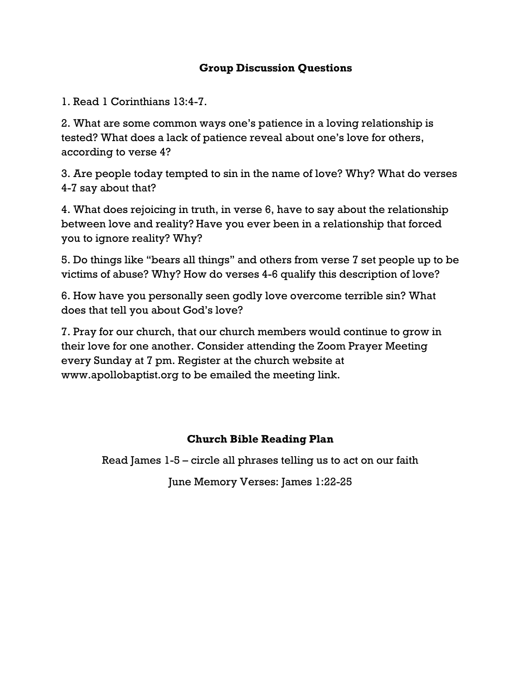### **Group Discussion Questions**

1. Read 1 Corinthians 13:4-7.

2. What are some common ways one's patience in a loving relationship is tested? What does a lack of patience reveal about one's love for others, according to verse 4?

3. Are people today tempted to sin in the name of love? Why? What do verses 4-7 say about that?

4. What does rejoicing in truth, in verse 6, have to say about the relationship between love and reality? Have you ever been in a relationship that forced you to ignore reality? Why?

5. Do things like "bears all things" and others from verse 7 set people up to be victims of abuse? Why? How do verses 4-6 qualify this description of love?

6. How have you personally seen godly love overcome terrible sin? What does that tell you about God's love?

7. Pray for our church, that our church members would continue to grow in their love for one another. Consider attending the Zoom Prayer Meeting every Sunday at 7 pm. Register at the church website at www.apollobaptist.org to be emailed the meeting link.

### **Church Bible Reading Plan**

Read James 1-5 – circle all phrases telling us to act on our faith

June Memory Verses: James 1:22-25